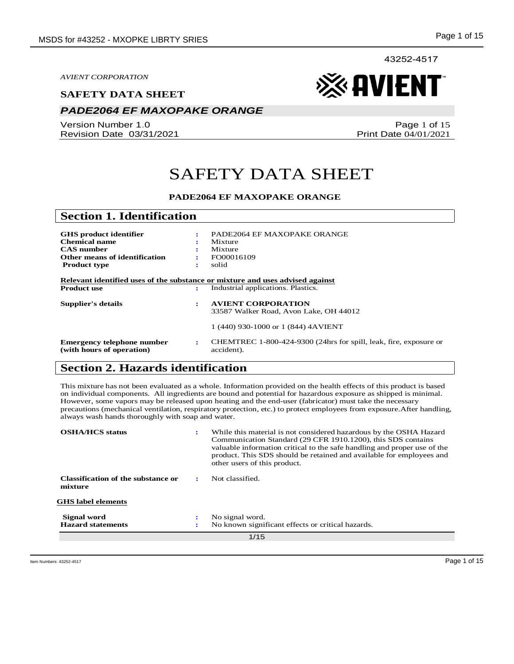#### **SAFETY DATA SHEET**

# *PADE2064 EF MAXOPAKE ORANGE*

Version Number 1.0 Revision Date 03/31/2021

Page 1 of 15 Print Date 04/01/2021

# SAFETY DATA SHEET

#### **PADE2064 EF MAXOPAKE ORANGE**

| <b>Section 1. Identification</b>                        |    |                                                                                                                     |
|---------------------------------------------------------|----|---------------------------------------------------------------------------------------------------------------------|
|                                                         |    |                                                                                                                     |
| <b>GHS</b> product identifier                           | ÷  | PADE2064 EF MAXOPAKE ORANGE                                                                                         |
| <b>Chemical name</b>                                    |    | Mixture                                                                                                             |
| <b>CAS</b> number                                       |    | Mixture                                                                                                             |
| Other means of identification                           | ÷  | FO00016109                                                                                                          |
| <b>Product type</b>                                     | ÷  | solid                                                                                                               |
| <b>Product use</b>                                      | ÷  | Relevant identified uses of the substance or mixture and uses advised against<br>Industrial applications. Plastics. |
| Supplier's details                                      | ÷  | <b>AVIENT CORPORATION</b>                                                                                           |
|                                                         |    | 33587 Walker Road, Avon Lake, OH 44012                                                                              |
|                                                         |    | 1 (440) 930-1000 or 1 (844) 4AVIENT                                                                                 |
| Emergency telephone number<br>(with hours of operation) | ٠. | CHEMTREC 1-800-424-9300 (24hrs for spill, leak, fire, exposure or<br>accident).                                     |

# **Section 2. Hazards identification**

This mixture has not been evaluated as a whole. Information provided on the health effects of this product is based on individual components. All ingredients are bound and potential for hazardous exposure as shipped is minimal. However, some vapors may be released upon heating and the end-user (fabricator) must take the necessary precautions (mechanical ventilation, respiratory protection, etc.) to protect employees from exposure.After handling, always wash hands thoroughly with soap and water.

| <b>OSHA/HCS</b> status                               | ÷ | While this material is not considered hazardous by the OSHA Hazard<br>Communication Standard (29 CFR 1910.1200), this SDS contains<br>valuable information critical to the safe handling and proper use of the<br>product. This SDS should be retained and available for employees and<br>other users of this product. |
|------------------------------------------------------|---|------------------------------------------------------------------------------------------------------------------------------------------------------------------------------------------------------------------------------------------------------------------------------------------------------------------------|
| <b>Classification of the substance or</b><br>mixture |   | Not classified.                                                                                                                                                                                                                                                                                                        |
| <b>GHS</b> label elements                            |   |                                                                                                                                                                                                                                                                                                                        |
| Signal word                                          | ÷ | No signal word.                                                                                                                                                                                                                                                                                                        |
| <b>Hazard statements</b>                             |   | No known significant effects or critical hazards.                                                                                                                                                                                                                                                                      |
| 1/15                                                 |   |                                                                                                                                                                                                                                                                                                                        |

Item Numbers: 43252-4517 Page 1 of 15

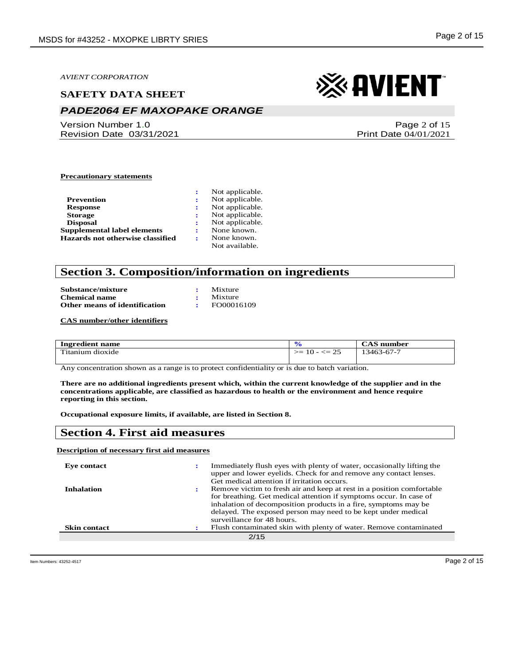#### **SAFETY DATA SHEET**

# *PADE2064 EF MAXOPAKE ORANGE*

Version Number 1.0 Revision Date 03/31/2021

# ※ AVIENT

Page 2 of 15 Print Date 04/01/2021

#### **Precautionary statements**

|                                  | Not applicable. |
|----------------------------------|-----------------|
| Prevention                       | Not applicable. |
| <b>Response</b>                  | Not applicable. |
| <b>Storage</b>                   | Not applicable. |
| <b>Disposal</b>                  | Not applicable. |
| Supplemental label elements      | None known.     |
| Hazards not otherwise classified | None known.     |
|                                  | Not available.  |

## **Section 3. Composition/information on ingredients**

| Substance/mixture             | Mixture    |
|-------------------------------|------------|
| <b>Chemical name</b>          | Mixture    |
| Other means of identification | FO00016109 |

**CAS number/other identifiers**

| $\sim$<br>Ingredient name   |                                                 | CAS<br>number |
|-----------------------------|-------------------------------------------------|---------------|
| <b></b><br>'itanium dioxide | $\gamma$<br>$\mathrel{<=}$<br>➢≕<br>$10 -$<br>ت | 13463-67-7    |

Any concentration shown as a range is to protect confidentiality or is due to batch variation.

**There are no additional ingredients present which, within the current knowledge of the supplier and in the concentrations applicable, are classified as hazardous to health or the environment and hence require reporting in this section.**

**Occupational exposure limits, if available, are listed in Section 8.**

### **Section 4. First aid measures**

#### **Description of necessary first aid measures**

| Eve contact         | Immediately flush eyes with plenty of water, occasionally lifting the<br>upper and lower eyelids. Check for and remove any contact lenses.<br>Get medical attention if irritation occurs.                                                                                                                     |
|---------------------|---------------------------------------------------------------------------------------------------------------------------------------------------------------------------------------------------------------------------------------------------------------------------------------------------------------|
| <b>Inhalation</b>   | Remove victim to fresh air and keep at rest in a position comfortable<br>for breathing. Get medical attention if symptoms occur. In case of<br>inhalation of decomposition products in a fire, symptoms may be<br>delayed. The exposed person may need to be kept under medical<br>surveillance for 48 hours. |
| <b>Skin contact</b> | Flush contaminated skin with plenty of water. Remove contaminated                                                                                                                                                                                                                                             |
|                     | 2/15                                                                                                                                                                                                                                                                                                          |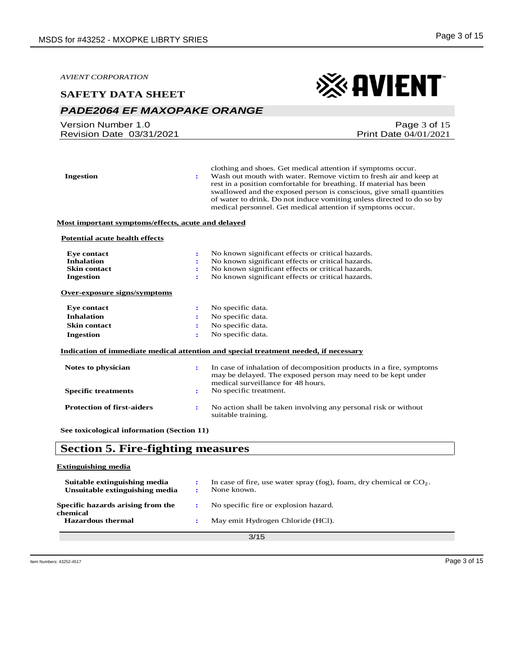※AVIENT

*AVIENT CORPORATION*

#### **SAFETY DATA SHEET**

# *PADE2064 EF MAXOPAKE ORANGE*

| Version Number 1.0       | Page $3$ of $15$             |
|--------------------------|------------------------------|
| Revision Date 03/31/2021 | <b>Print Date 04/01/2021</b> |
|                          |                              |

| <b>Ingestion</b>                                   | ÷                    | clothing and shoes. Get medical attention if symptoms occur.<br>Wash out mouth with water. Remove victim to fresh air and keep at<br>rest in a position comfortable for breathing. If material has been<br>swallowed and the exposed person is conscious, give small quantities<br>of water to drink. Do not induce vomiting unless directed to do so by<br>medical personnel. Get medical attention if symptoms occur. |
|----------------------------------------------------|----------------------|-------------------------------------------------------------------------------------------------------------------------------------------------------------------------------------------------------------------------------------------------------------------------------------------------------------------------------------------------------------------------------------------------------------------------|
| Most important symptoms/effects, acute and delayed |                      |                                                                                                                                                                                                                                                                                                                                                                                                                         |
| <b>Potential acute health effects</b>              |                      |                                                                                                                                                                                                                                                                                                                                                                                                                         |
| <b>Eye contact</b>                                 | ÷                    | No known significant effects or critical hazards.                                                                                                                                                                                                                                                                                                                                                                       |
| <b>Inhalation</b>                                  |                      | No known significant effects or critical hazards.                                                                                                                                                                                                                                                                                                                                                                       |
| <b>Skin contact</b>                                | ÷                    | No known significant effects or critical hazards.                                                                                                                                                                                                                                                                                                                                                                       |
| <b>Ingestion</b>                                   | ÷                    | No known significant effects or critical hazards.                                                                                                                                                                                                                                                                                                                                                                       |
| Over-exposure signs/symptoms                       |                      |                                                                                                                                                                                                                                                                                                                                                                                                                         |
| <b>Eye contact</b>                                 | ÷                    | No specific data.                                                                                                                                                                                                                                                                                                                                                                                                       |
| <b>Inhalation</b>                                  |                      | No specific data.                                                                                                                                                                                                                                                                                                                                                                                                       |
| <b>Skin contact</b>                                | ÷                    | No specific data.                                                                                                                                                                                                                                                                                                                                                                                                       |
| <b>Ingestion</b>                                   | ÷                    | No specific data.                                                                                                                                                                                                                                                                                                                                                                                                       |
|                                                    |                      | Indication of immediate medical attention and special treatment needed, if necessary                                                                                                                                                                                                                                                                                                                                    |
| Notes to physician                                 | $\ddot{\phantom{a}}$ | In case of inhalation of decomposition products in a fire, symptoms<br>may be delayed. The exposed person may need to be kept under<br>medical surveillance for 48 hours.                                                                                                                                                                                                                                               |
| <b>Specific treatments</b>                         | $\ddot{\phantom{a}}$ | No specific treatment.                                                                                                                                                                                                                                                                                                                                                                                                  |
| <b>Protection of first-aiders</b>                  | $\ddot{\phantom{a}}$ | No action shall be taken involving any personal risk or without<br>suitable training.                                                                                                                                                                                                                                                                                                                                   |
| See toxicological information (Section 11)         |                      |                                                                                                                                                                                                                                                                                                                                                                                                                         |
|                                                    |                      |                                                                                                                                                                                                                                                                                                                                                                                                                         |

# **Section 5. Fire-fighting measures**

#### **Extinguishing media**

| Suitable extinguishing media<br>Unsuitable extinguishing media |  | In case of fire, use water spray (fog), foam, dry chemical or $CO2$ .<br>None known. |
|----------------------------------------------------------------|--|--------------------------------------------------------------------------------------|
| Specific hazards arising from the<br>chemical                  |  | No specific fire or explosion hazard.                                                |
| <b>Hazardous thermal</b>                                       |  | May emit Hydrogen Chloride (HCl).                                                    |
| 3/15                                                           |  |                                                                                      |

3/15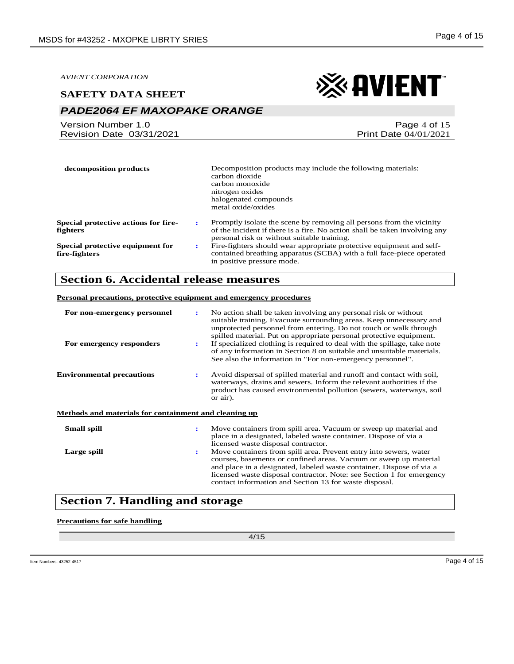### **SAFETY DATA SHEET**

# *PADE2064 EF MAXOPAKE ORANGE*

| Version Number 1.0       | Page 4 of 15                 |
|--------------------------|------------------------------|
| Revision Date 03/31/2021 | <b>Print Date 04/01/2021</b> |

| decomposition products                      | Decomposition products may include the following materials:<br>carbon dioxide<br>carbon monoxide<br>nitrogen oxides<br>halogenated compounds<br>metal oxide/oxides |
|---------------------------------------------|--------------------------------------------------------------------------------------------------------------------------------------------------------------------|
| <b>Special protective actions for fire-</b> | Promptly isolate the scene by removing all persons from the vicinity                                                                                               |
| с                                           | of the incident if there is a fire. No action shall be taken involving any                                                                                         |
| fighters                                    | personal risk or without suitable training.                                                                                                                        |
| Special protective equipment for            | Fire-fighters should wear appropriate protective equipment and self-                                                                                               |
| ÷                                           | contained breathing apparatus (SCBA) with a full face-piece operated                                                                                               |
| fire-fighters                               | in positive pressure mode.                                                                                                                                         |

# **Section 6. Accidental release measures**

#### **Personal precautions, protective equipment and emergency procedures**

| For non-emergency personnel<br>For emergency responders |                      | No action shall be taken involving any personal risk or without<br>suitable training. Evacuate surrounding areas. Keep unnecessary and<br>unprotected personnel from entering. Do not touch or walk through<br>spilled material. Put on appropriate personal protective equipment.<br>If specialized clothing is required to deal with the spillage, take note<br>of any information in Section 8 on suitable and unsuitable materials.<br>See also the information in "For non-emergency personnel". |
|---------------------------------------------------------|----------------------|-------------------------------------------------------------------------------------------------------------------------------------------------------------------------------------------------------------------------------------------------------------------------------------------------------------------------------------------------------------------------------------------------------------------------------------------------------------------------------------------------------|
| <b>Environmental precautions</b>                        | $\mathbf{r}$         | Avoid dispersal of spilled material and runoff and contact with soil,<br>waterways, drains and sewers. Inform the relevant authorities if the<br>product has caused environmental pollution (sewers, waterways, soil<br>or air).                                                                                                                                                                                                                                                                      |
| Methods and materials for containment and cleaning up   |                      |                                                                                                                                                                                                                                                                                                                                                                                                                                                                                                       |
| <b>Small spill</b>                                      |                      | Move containers from spill area. Vacuum or sweep up material and<br>place in a designated, labeled waste container. Dispose of via a<br>licensed waste disposal contractor.                                                                                                                                                                                                                                                                                                                           |
| Large spill                                             | $\ddot{\phantom{a}}$ | Move containers from spill area. Prevent entry into sewers, water<br>courses, basements or confined areas. Vacuum or sweep up material<br>and place in a designated, labeled waste container. Dispose of via a<br>licensed waste disposal contractor. Note: see Section 1 for emergency<br>contact information and Section 13 for waste disposal.                                                                                                                                                     |

# **Section 7. Handling and storage**

#### **Precautions for safe handling**

4/15

※AVIENT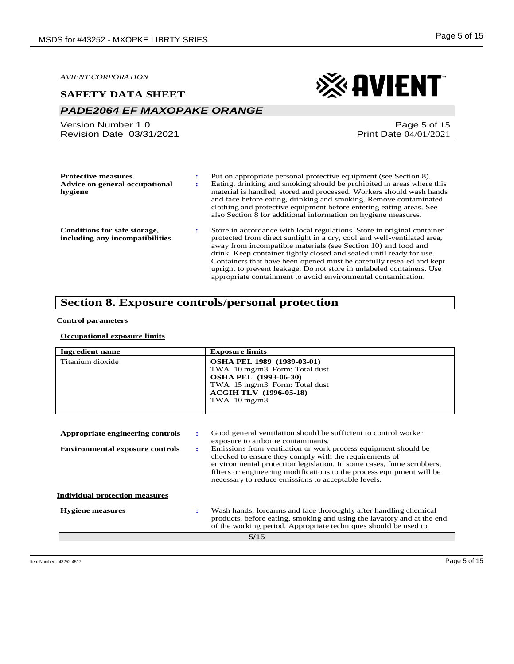#### **SAFETY DATA SHEET**

# *PADE2064 EF MAXOPAKE ORANGE*

Version Number 1.0 Revision Date 03/31/2021 ※ AVIENT

Page 5 of 15 Print Date 04/01/2021

| <b>Protective measures</b><br>Advice on general occupational<br>hygiene | Put on appropriate personal protective equipment (see Section 8).<br>Eating, drinking and smoking should be prohibited in areas where this<br>material is handled, stored and processed. Workers should wash hands<br>and face before eating, drinking and smoking. Remove contaminated<br>clothing and protective equipment before entering eating areas. See<br>also Section 8 for additional information on hygiene measures.                                                                               |
|-------------------------------------------------------------------------|----------------------------------------------------------------------------------------------------------------------------------------------------------------------------------------------------------------------------------------------------------------------------------------------------------------------------------------------------------------------------------------------------------------------------------------------------------------------------------------------------------------|
| Conditions for safe storage,<br>including any incompatibilities         | Store in accordance with local regulations. Store in original container<br>protected from direct sunlight in a dry, cool and well-ventilated area,<br>away from incompatible materials (see Section 10) and food and<br>drink. Keep container tightly closed and sealed until ready for use.<br>Containers that have been opened must be carefully resealed and kept<br>upright to prevent leakage. Do not store in unlabeled containers. Use<br>appropriate containment to avoid environmental contamination. |

# **Section 8. Exposure controls/personal protection**

#### **Control parameters**

#### **Occupational exposure limits**

| <b>Ingredient name</b>                 |   | <b>Exposure limits</b>                                                                                                                                                                                                                                                                                                                                                 |
|----------------------------------------|---|------------------------------------------------------------------------------------------------------------------------------------------------------------------------------------------------------------------------------------------------------------------------------------------------------------------------------------------------------------------------|
| Titanium dioxide                       |   | <b>OSHA PEL 1989 (1989-03-01)</b><br>TWA 10 mg/m3 Form: Total dust<br><b>OSHA PEL (1993-06-30)</b><br>TWA 15 mg/m3 Form: Total dust<br><b>ACGIH TLV</b> (1996-05-18)<br>TWA $10 \text{ mg/m}$ 3                                                                                                                                                                        |
| Appropriate engineering controls       | ÷ | Good general ventilation should be sufficient to control worker                                                                                                                                                                                                                                                                                                        |
| <b>Environmental exposure controls</b> | ÷ | exposure to airborne contaminants.<br>Emissions from ventilation or work process equipment should be<br>checked to ensure they comply with the requirements of<br>environmental protection legislation. In some cases, fume scrubbers,<br>filters or engineering modifications to the process equipment will be<br>necessary to reduce emissions to acceptable levels. |
| <b>Individual protection measures</b>  |   |                                                                                                                                                                                                                                                                                                                                                                        |
| <b>Hygiene</b> measures                |   | Wash hands, forearms and face thoroughly after handling chemical<br>products, before eating, smoking and using the lavatory and at the end<br>of the working period. Appropriate techniques should be used to                                                                                                                                                          |
|                                        |   | 5/15                                                                                                                                                                                                                                                                                                                                                                   |
|                                        |   |                                                                                                                                                                                                                                                                                                                                                                        |

Item Numbers: 43252-4517 Page 5 of 15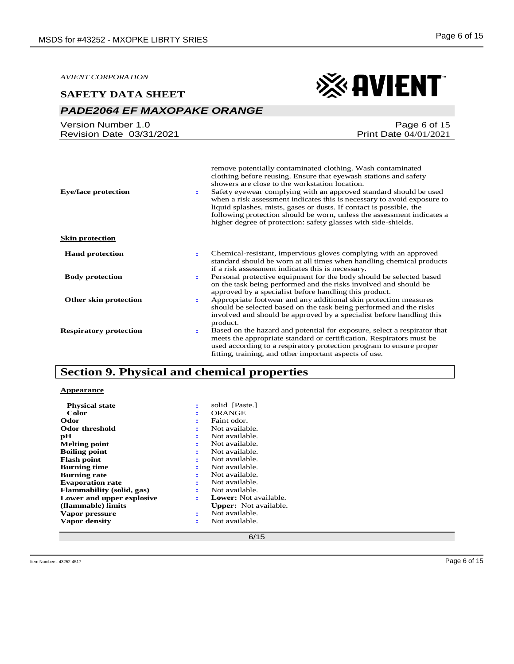#### **SAFETY DATA SHEET**

# *PADE2064 EF MAXOPAKE ORANGE*

Version Number 1.0 Revision Date 03/31/2021

| <b>Eye/face protection</b>    | remove potentially contaminated clothing. Wash contaminated<br>clothing before reusing. Ensure that eyewash stations and safety<br>showers are close to the workstation location.<br>Safety eyewear complying with an approved standard should be used<br>÷<br>when a risk assessment indicates this is necessary to avoid exposure to<br>liquid splashes, mists, gases or dusts. If contact is possible, the<br>following protection should be worn, unless the assessment indicates a<br>higher degree of protection: safety glasses with side-shields. |
|-------------------------------|-----------------------------------------------------------------------------------------------------------------------------------------------------------------------------------------------------------------------------------------------------------------------------------------------------------------------------------------------------------------------------------------------------------------------------------------------------------------------------------------------------------------------------------------------------------|
| <b>Skin protection</b>        |                                                                                                                                                                                                                                                                                                                                                                                                                                                                                                                                                           |
| <b>Hand protection</b>        | Chemical-resistant, impervious gloves complying with an approved<br>÷<br>standard should be worn at all times when handling chemical products<br>if a risk assessment indicates this is necessary.                                                                                                                                                                                                                                                                                                                                                        |
| <b>Body protection</b>        | Personal protective equipment for the body should be selected based<br>÷<br>on the task being performed and the risks involved and should be<br>approved by a specialist before handling this product.                                                                                                                                                                                                                                                                                                                                                    |
| Other skin protection         | Appropriate footwear and any additional skin protection measures<br>÷<br>should be selected based on the task being performed and the risks<br>involved and should be approved by a specialist before handling this<br>product.                                                                                                                                                                                                                                                                                                                           |
| <b>Respiratory protection</b> | Based on the hazard and potential for exposure, select a respirator that<br>٠.<br>meets the appropriate standard or certification. Respirators must be<br>used according to a respiratory protection program to ensure proper<br>fitting, training, and other important aspects of use.                                                                                                                                                                                                                                                                   |

# **Section 9. Physical and chemical properties**

#### **Appearance**

| <b>Physical state</b>     | ÷ | solid [Paste.]               |
|---------------------------|---|------------------------------|
| Color                     | ÷ | ORANGE                       |
| Odor                      | ÷ | Faint odor.                  |
| Odor threshold            | ÷ | Not available.               |
| рH                        | ÷ | Not available.               |
| <b>Melting point</b>      | ÷ | Not available.               |
| <b>Boiling point</b>      | ÷ | Not available.               |
| <b>Flash point</b>        | ÷ | Not available.               |
| <b>Burning time</b>       | ÷ | Not available.               |
| <b>Burning rate</b>       | ÷ | Not available.               |
| <b>Evaporation rate</b>   | ÷ | Not available.               |
| Flammability (solid, gas) | ÷ | Not available.               |
| Lower and upper explosive | ÷ | <b>Lower:</b> Not available. |
| (flammable) limits        |   | <b>Upper:</b> Not available. |
| Vapor pressure            | ÷ | Not available.               |
| Vapor density             | ÷ | Not available.               |
|                           |   |                              |

# ※ AVIENT

Page 6 of 15 Print Date 04/01/2021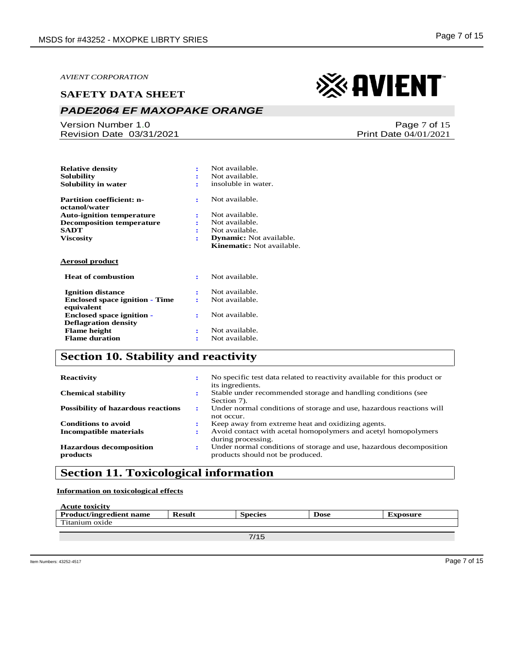# *PADE2064 EF MAXOPAKE ORANGE*

Version Number 1.0 Revision Date 03/31/2021

| <b>Relative density</b>                             |   | Not available.                   |
|-----------------------------------------------------|---|----------------------------------|
| Solubility                                          |   | Not available.                   |
| Solubility in water                                 |   | insoluble in water.              |
| <b>Partition coefficient: n-</b><br>octanol/water   | ÷ | Not available.                   |
| <b>Auto-ignition temperature</b>                    | ÷ | Not available.                   |
| <b>Decomposition temperature</b>                    | ÷ | Not available.                   |
| <b>SADT</b>                                         |   | Not available.                   |
| <b>Viscosity</b>                                    | ÷ | <b>Dynamic:</b> Not available.   |
|                                                     |   | <b>Kinematic:</b> Not available. |
| Aerosol product                                     |   |                                  |
| <b>Heat of combustion</b>                           | ÷ | Not available.                   |
| <b>Ignition distance</b>                            |   | Not available.                   |
| <b>Enclosed space ignition - Time</b><br>equivalent |   | Not available.                   |
| <b>Enclosed space ignition -</b>                    | ÷ | Not available.                   |
| <b>Deflagration density</b>                         |   |                                  |
| <b>Flame</b> height                                 | ÷ | Not available.                   |
| <b>Flame duration</b>                               |   |                                  |

# **Section 10. Stability and reactivity**

| <b>Reactivity</b>                          | ÷      | No specific test data related to reactivity available for this product or<br>its ingredients.           |
|--------------------------------------------|--------|---------------------------------------------------------------------------------------------------------|
| <b>Chemical stability</b>                  | ٠      | Stable under recommended storage and handling conditions (see<br>Section 7).                            |
| <b>Possibility of hazardous reactions</b>  | ÷      | Under normal conditions of storage and use, hazardous reactions will<br>not occur.                      |
| <b>Conditions to avoid</b>                 | ٠      | Keep away from extreme heat and oxidizing agents.                                                       |
| Incompatible materials                     | ÷      | Avoid contact with acetal homopolymers and acetyl homopolymers<br>during processing.                    |
| <b>Hazardous decomposition</b><br>products | ٠<br>÷ | Under normal conditions of storage and use, hazardous decomposition<br>products should not be produced. |

# **Section 11. Toxicological information**

**Information on toxicological effects**

| <b>Acute toxicity</b>          |               |         |             |          |
|--------------------------------|---------------|---------|-------------|----------|
| <b>Product/ingredient name</b> | <b>Result</b> | Species | <b>Dose</b> | Exposure |
| Titanium oxide                 |               |         |             |          |
|                                |               |         |             |          |

# ※AVIENT

Page 7 of 15 Print Date 04/01/2021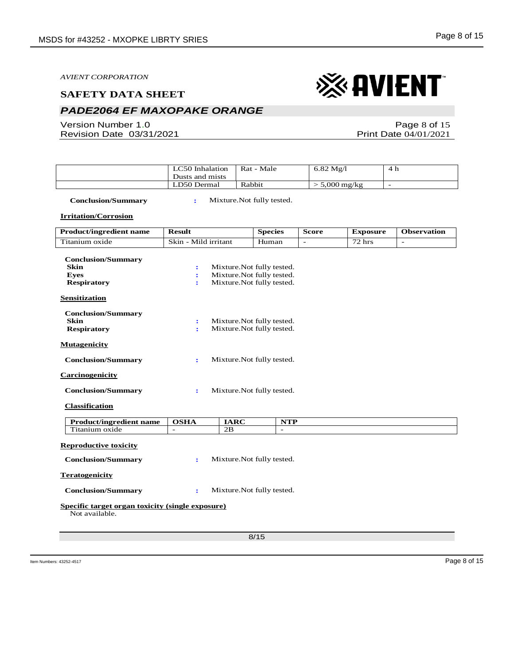# *PADE2064 EF MAXOPAKE ORANGE*

Version Number 1.0 Revision Date 03/31/2021

Page 8 of 15 Print Date 04/01/2021

| LC50 Inhalation<br>Dusts and mists | Rat - Male | $6.82 \text{ Mg}/l$      | -4 հ |
|------------------------------------|------------|--------------------------|------|
| LD50 Dermal                        | Rabbit     | $5,000 \,\mathrm{mg/kg}$ |      |

 **Conclusion/Summary :** Mixture.Not fully tested.

**Irritation/Corrosion**

| <b>Product/ingredient name</b>                                                | <b>Result</b>            | <b>Species</b>                                                                         | <b>Score</b> | <b>Exposure</b>         | <b>Observation</b>       |
|-------------------------------------------------------------------------------|--------------------------|----------------------------------------------------------------------------------------|--------------|-------------------------|--------------------------|
| Titanium oxide                                                                | Skin - Mild irritant     | Human                                                                                  |              | $\sqrt{72 \text{ hrs}}$ | $\overline{\phantom{a}}$ |
| <b>Conclusion/Summary</b><br><b>Skin</b><br><b>Eves</b><br><b>Respiratory</b> | $\ddot{\cdot}$<br>÷<br>÷ | Mixture. Not fully tested.<br>Mixture. Not fully tested.<br>Mixture. Not fully tested. |              |                         |                          |
| <b>Sensitization</b>                                                          |                          |                                                                                        |              |                         |                          |
| <b>Conclusion/Summary</b><br><b>Skin</b><br><b>Respiratory</b>                | $\ddot{\cdot}$<br>÷      | Mixture. Not fully tested.<br>Mixture.Not fully tested.                                |              |                         |                          |
| <b>Mutagenicity</b>                                                           |                          |                                                                                        |              |                         |                          |
| <b>Conclusion/Summary</b>                                                     | ÷                        | Mixture. Not fully tested.                                                             |              |                         |                          |
| <b>Carcinogenicity</b>                                                        |                          |                                                                                        |              |                         |                          |
| <b>Conclusion/Summary</b>                                                     | $\ddot{\phantom{a}}$     | Mixture. Not fully tested.                                                             |              |                         |                          |
| <b>Classification</b>                                                         |                          |                                                                                        |              |                         |                          |
| <b>Product/ingredient name</b>                                                | <b>OSHA</b>              | <b>IARC</b><br><b>NTP</b>                                                              |              |                         |                          |
| Titanium oxide                                                                | 2B<br>$\overline{a}$     | $\overline{a}$                                                                         |              |                         |                          |
| <b>Reproductive toxicity</b><br><b>Conclusion/Summary</b>                     | ÷                        | Mixture. Not fully tested.                                                             |              |                         |                          |
| <b>Teratogenicity</b>                                                         |                          |                                                                                        |              |                         |                          |
| <b>Conclusion/Summary</b>                                                     | $\ddot{\cdot}$           | Mixture. Not fully tested.                                                             |              |                         |                          |
| Specific target organ toxicity (single exposure)<br>Not available.            |                          |                                                                                        |              |                         |                          |
|                                                                               |                          | 8/15                                                                                   |              |                         |                          |
|                                                                               |                          |                                                                                        |              |                         |                          |

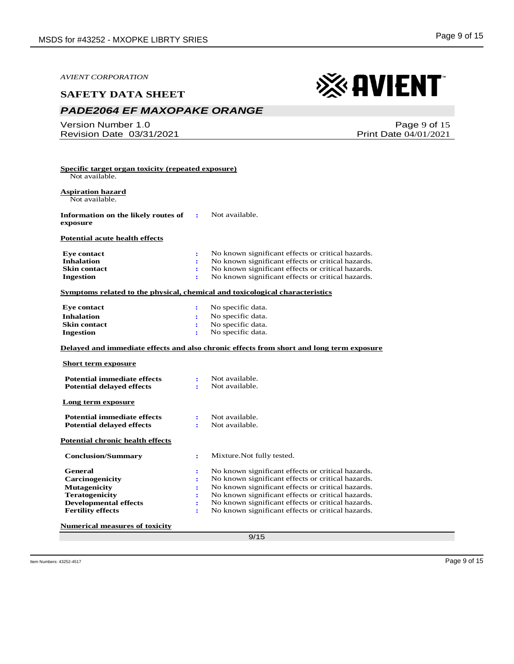#### **SAFETY DATA SHEET**

# *PADE2064 EF MAXOPAKE ORANGE*

**Specific target organ toxicity (repeated exposure)**

Version Number 1.0 Revision Date 03/31/2021

| Page 9 of 15 |
|--------------|

※AVIENT

Print Date 04/01/2021

 Not available. **Aspiration hazard** Not available. **Information on the likely routes of exposure :** Not available. **Potential acute health effects Eye contact :** No known significant effects or critical hazards.

| <b>Inhalation</b>   | No known significant effects or critical hazards. |
|---------------------|---------------------------------------------------|
| <b>Skin contact</b> | No known significant effects or critical hazards. |
| Ingestion           | No known significant effects or critical hazards. |

#### **Symptoms related to the physical, chemical and toxicological characteristics**

| <b>Eve contact</b>  | No specific data. |
|---------------------|-------------------|
| <b>Inhalation</b>   | No specific data. |
| <b>Skin contact</b> | No specific data. |
| Ingestion           | No specific data. |

#### **Delayed and immediate effects and also chronic effects from short and long term exposure**

#### **Short term exposure**

| <b>Potential immediate effects</b><br><b>Potential delayed effects</b>                                                                        | ÷<br>÷                      | Not available.<br>Not available.                                                                                                                                                                                                                                                                                           |
|-----------------------------------------------------------------------------------------------------------------------------------------------|-----------------------------|----------------------------------------------------------------------------------------------------------------------------------------------------------------------------------------------------------------------------------------------------------------------------------------------------------------------------|
| Long term exposure                                                                                                                            |                             |                                                                                                                                                                                                                                                                                                                            |
| <b>Potential immediate effects</b><br><b>Potential delayed effects</b>                                                                        | ÷                           | Not available.<br>Not available.                                                                                                                                                                                                                                                                                           |
| Potential chronic health effects                                                                                                              |                             |                                                                                                                                                                                                                                                                                                                            |
| <b>Conclusion/Summary</b>                                                                                                                     | ÷                           | Mixture. Not fully tested.                                                                                                                                                                                                                                                                                                 |
| General<br><b>Carcinogenicity</b><br><b>Mutagenicity</b><br><b>Teratogenicity</b><br><b>Developmental effects</b><br><b>Fertility effects</b> | ٠.<br>÷<br>:<br>:<br>÷<br>÷ | No known significant effects or critical hazards.<br>No known significant effects or critical hazards.<br>No known significant effects or critical hazards.<br>No known significant effects or critical hazards.<br>No known significant effects or critical hazards.<br>No known significant effects or critical hazards. |

**Numerical measures of toxicity**

9/15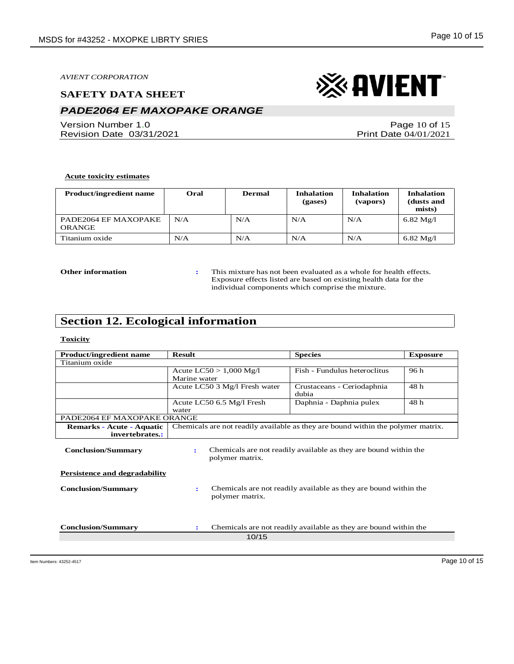#### **SAFETY DATA SHEET**

# *PADE2064 EF MAXOPAKE ORANGE*

Version Number 1.0 Revision Date 03/31/2021

Page 10 of 15 Print Date 04/01/2021

#### **Acute toxicity estimates**

| <b>Product/ingredient name</b> | Oral | <b>Dermal</b> | <b>Inhalation</b><br>(gases) | <b>Inhalation</b><br>(vapors) | <b>Inhalation</b><br>(dusts and<br>mists) |
|--------------------------------|------|---------------|------------------------------|-------------------------------|-------------------------------------------|
| PADE2064 EF MAXOPAKE<br>ORANGE | N/A  | N/A           | N/A                          | N/A                           | $6.82 \text{ Mg}/l$                       |
| Titanium oxide                 | N/A  | N/A           | N/A                          | N/A                           | $6.82 \text{ Mg}/l$                       |

**Other information :** This mixture has not been evaluated as a whole for health effects. Exposure effects listed are based on existing health data for the individual components which comprise the mixture.

# **Section 12. Ecological information**

#### **Toxicity**

| <b>Product/ingredient name</b>                                    | <b>Result</b><br><b>Species</b>                                                          | <b>Exposure</b> |  |  |  |
|-------------------------------------------------------------------|------------------------------------------------------------------------------------------|-----------------|--|--|--|
| Titanium oxide                                                    |                                                                                          |                 |  |  |  |
|                                                                   | Fish - Fundulus heteroclitus<br>Acute $LC50 > 1,000$ Mg/l                                | 96 h            |  |  |  |
|                                                                   | Marine water                                                                             |                 |  |  |  |
|                                                                   | Acute LC50 3 Mg/l Fresh water<br>Crustaceans - Ceriodaphnia                              | 48 h            |  |  |  |
|                                                                   | dubia                                                                                    |                 |  |  |  |
|                                                                   | Acute LC50 6.5 Mg/l Fresh<br>Daphnia - Daphnia pulex                                     | 48 h            |  |  |  |
|                                                                   | water                                                                                    |                 |  |  |  |
| PADE2064 EF MAXOPAKE ORANGE                                       |                                                                                          |                 |  |  |  |
| Remarks - Acute - Aquatic                                         | Chemicals are not readily available as they are bound within the polymer matrix.         |                 |  |  |  |
| invertebrates.:                                                   |                                                                                          |                 |  |  |  |
| <b>Conclusion/Summary</b>                                         | Chemicals are not readily available as they are bound within the<br>polymer matrix.      |                 |  |  |  |
| <b>Persistence and degradability</b><br><b>Conclusion/Summary</b> | Chemicals are not readily available as they are bound within the<br>÷<br>polymer matrix. |                 |  |  |  |
| <b>Conclusion/Summary</b>                                         | Chemicals are not readily available as they are bound within the<br>÷<br>10/15           |                 |  |  |  |
|                                                                   |                                                                                          |                 |  |  |  |

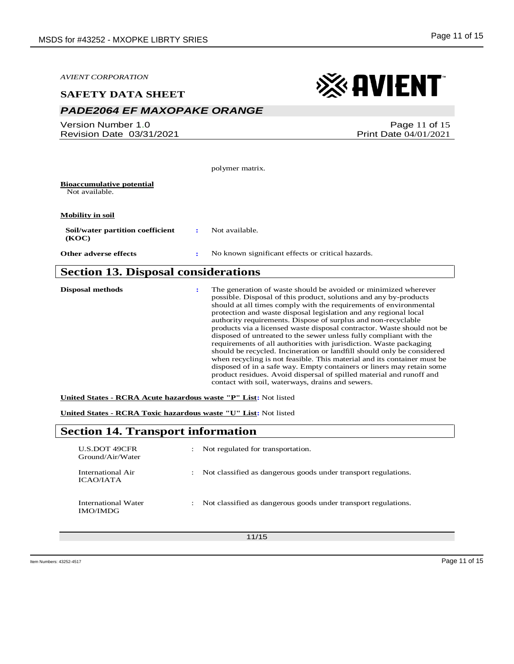*PADE2064 EF MAXOPAKE ORANGE*

*AVIENT CORPORATION*

※AVIENT

| Version Number 1.0<br>Revision Date 03/31/2021     |   | Page 11 of 15<br><b>Print Date 04/01/2021</b>                                                                                                                                                                                                                                                                                                                                                                                                                                                  |
|----------------------------------------------------|---|------------------------------------------------------------------------------------------------------------------------------------------------------------------------------------------------------------------------------------------------------------------------------------------------------------------------------------------------------------------------------------------------------------------------------------------------------------------------------------------------|
|                                                    |   |                                                                                                                                                                                                                                                                                                                                                                                                                                                                                                |
|                                                    |   | polymer matrix.                                                                                                                                                                                                                                                                                                                                                                                                                                                                                |
| <b>Bioaccumulative potential</b><br>Not available. |   |                                                                                                                                                                                                                                                                                                                                                                                                                                                                                                |
| <b>Mobility in soil</b>                            |   |                                                                                                                                                                                                                                                                                                                                                                                                                                                                                                |
| Soil/water partition coefficient<br>(KOC)          | ÷ | Not available.                                                                                                                                                                                                                                                                                                                                                                                                                                                                                 |
| Other adverse effects                              | : | No known significant effects or critical hazards.                                                                                                                                                                                                                                                                                                                                                                                                                                              |
| <b>Section 13. Disposal considerations</b>         |   |                                                                                                                                                                                                                                                                                                                                                                                                                                                                                                |
| <b>Disposal methods</b>                            |   | The generation of waste should be avoided or minimized wherever<br>possible. Disposal of this product, solutions and any by-products<br>should at all times comply with the requirements of environmental<br>protection and waste disposal legislation and any regional local<br>authority requirements. Dispose of surplus and non-recyclable<br>products via a licensed waste disposal contractor. Waste should not be<br>disposed of untreated to the sewer unless fully compliant with the |

requirements of all authorities with jurisdiction. Waste packaging should be recycled. Incineration or landfill should only be considered when recycling is not feasible. This material and its container must be disposed of in a safe way. Empty containers or liners may retain some product residues. Avoid dispersal of spilled material and runoff and contact with soil, waterways, drains and sewers.

**United States - RCRA Acute hazardous waste "P" List:** Not listed

**United States - RCRA Toxic hazardous waste "U" List:** Not listed

# **Section 14. Transport information**

| U.S.DOT 49CFR<br>Ground/Air/Water      | $\ddot{\phantom{a}}$ | Not regulated for transportation.                              |
|----------------------------------------|----------------------|----------------------------------------------------------------|
| International Air<br><b>ICAO/IATA</b>  | $\ddot{\phantom{0}}$ | Not classified as dangerous goods under transport regulations. |
| International Water<br><b>IMO/IMDG</b> | $\ddot{\phantom{0}}$ | Not classified as dangerous goods under transport regulations. |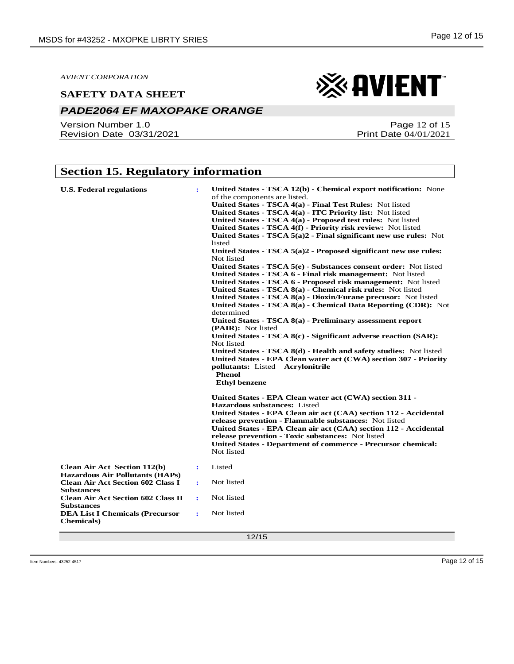### *PADE2064 EF MAXOPAKE ORANGE*

Version Number 1.0 Revision Date 03/31/2021



Page 12 of 15 Print Date 04/01/2021

# **Section 15. Regulatory information**

| <b>U.S. Federal regulations</b>                                                                         | ÷ | United States - TSCA 12(b) - Chemical export notification: None<br>of the components are listed.<br>United States - TSCA 4(a) - Final Test Rules: Not listed<br>United States - TSCA 4(a) - ITC Priority list: Not listed<br>United States - TSCA 4(a) - Proposed test rules: Not listed<br>United States - TSCA 4(f) - Priority risk review: Not listed<br>United States - TSCA $5(a)2$ - Final significant new use rules: Not<br>listed<br>United States - TSCA 5(a)2 - Proposed significant new use rules:<br>Not listed<br>United States - TSCA 5(e) - Substances consent order: Not listed<br>United States - TSCA 6 - Final risk management: Not listed<br>United States - TSCA 6 - Proposed risk management: Not listed<br>United States - TSCA 8(a) - Chemical risk rules: Not listed<br>United States - TSCA $8(a)$ - Dioxin/Furane precusor: Not listed<br>United States - TSCA 8(a) - Chemical Data Reporting (CDR): Not<br>determined<br>United States - TSCA 8(a) - Preliminary assessment report<br>(PAIR): Not listed<br>United States - TSCA 8(c) - Significant adverse reaction (SAR):<br>Not listed<br>United States - TSCA 8(d) - Health and safety studies: Not listed |
|---------------------------------------------------------------------------------------------------------|---|--------------------------------------------------------------------------------------------------------------------------------------------------------------------------------------------------------------------------------------------------------------------------------------------------------------------------------------------------------------------------------------------------------------------------------------------------------------------------------------------------------------------------------------------------------------------------------------------------------------------------------------------------------------------------------------------------------------------------------------------------------------------------------------------------------------------------------------------------------------------------------------------------------------------------------------------------------------------------------------------------------------------------------------------------------------------------------------------------------------------------------------------------------------------------------------------|
|                                                                                                         |   | United States - EPA Clean water act (CWA) section 307 - Priority<br>pollutants: Listed Acrylonitrile<br><b>Phenol</b><br><b>Ethyl benzene</b>                                                                                                                                                                                                                                                                                                                                                                                                                                                                                                                                                                                                                                                                                                                                                                                                                                                                                                                                                                                                                                              |
|                                                                                                         |   | United States - EPA Clean water act (CWA) section 311 -<br><b>Hazardous substances:</b> Listed<br>United States - EPA Clean air act (CAA) section 112 - Accidental<br>release prevention - Flammable substances: Not listed<br>United States - EPA Clean air act (CAA) section 112 - Accidental<br>release prevention - Toxic substances: Not listed<br>United States - Department of commerce - Precursor chemical:<br>Not listed                                                                                                                                                                                                                                                                                                                                                                                                                                                                                                                                                                                                                                                                                                                                                         |
| <b>Clean Air Act Section 112(b)</b>                                                                     | ÷ | Listed                                                                                                                                                                                                                                                                                                                                                                                                                                                                                                                                                                                                                                                                                                                                                                                                                                                                                                                                                                                                                                                                                                                                                                                     |
| <b>Hazardous Air Pollutants (HAPs)</b><br><b>Clean Air Act Section 602 Class I</b><br><b>Substances</b> | ÷ | Not listed                                                                                                                                                                                                                                                                                                                                                                                                                                                                                                                                                                                                                                                                                                                                                                                                                                                                                                                                                                                                                                                                                                                                                                                 |
| <b>Clean Air Act Section 602 Class II</b><br><b>Substances</b>                                          | ÷ | Not listed                                                                                                                                                                                                                                                                                                                                                                                                                                                                                                                                                                                                                                                                                                                                                                                                                                                                                                                                                                                                                                                                                                                                                                                 |
| <b>DEA List I Chemicals (Precursor</b><br><b>Chemicals</b> )                                            | ÷ | Not listed                                                                                                                                                                                                                                                                                                                                                                                                                                                                                                                                                                                                                                                                                                                                                                                                                                                                                                                                                                                                                                                                                                                                                                                 |
|                                                                                                         |   | 12/15                                                                                                                                                                                                                                                                                                                                                                                                                                                                                                                                                                                                                                                                                                                                                                                                                                                                                                                                                                                                                                                                                                                                                                                      |

Item Numbers: 43252-4517 Page 12 of 15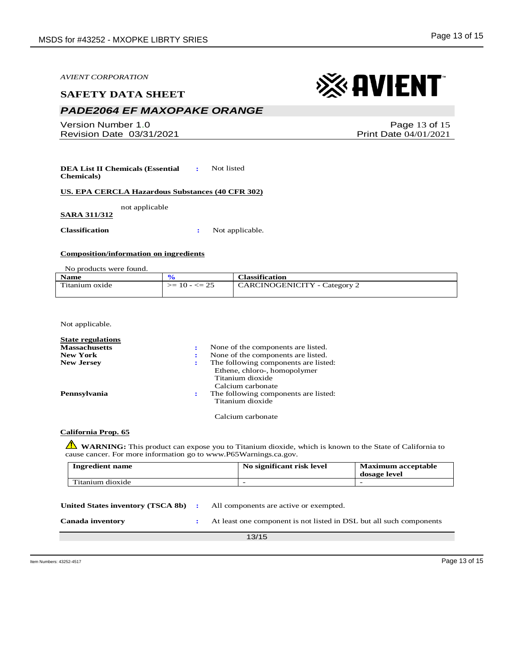#### **SAFETY DATA SHEET**

# *PADE2064 EF MAXOPAKE ORANGE*

Version Number 1.0 Revision Date 03/31/2021

**DEA List II Chemicals (Essential Chemicals) :** Not listed

**US. EPA CERCLA Hazardous Substances (40 CFR 302)**

not applicable

**SARA 311/312**

**Classification :** Not applicable.

#### **Composition/information on ingredients**

No products were found.

| <b>Name</b>    |                  | <b>Classification</b>               |
|----------------|------------------|-------------------------------------|
| Titanium oxide | $>= 10 - \le 25$ | <b>CARCINOGENICITY</b> - Category 2 |
|                |                  |                                     |

Not applicable.

| <b>State regulations</b> |                                      |
|--------------------------|--------------------------------------|
| <b>Massachusetts</b>     | None of the components are listed.   |
| <b>New York</b>          | None of the components are listed.   |
| <b>New Jersey</b>        | The following components are listed: |
|                          | Ethene, chloro-, homopolymer         |
|                          | Titanium dioxide                     |
|                          | Calcium carbonate                    |
| Pennsylvania             | The following components are listed: |
|                          | Titanium dioxide                     |
|                          |                                      |

Calcium carbonate

#### **California Prop. 65**

**WARNING**: This product can expose you to Titanium dioxide, which is known to the State of California to cause cancer. For more information go to www.P65Warnings.ca.gov.

| <b>Ingredient name</b> | No significant risk level | <b>Maximum acceptable</b><br>dosage level |
|------------------------|---------------------------|-------------------------------------------|
| Titanium dioxide       | $\overline{\phantom{a}}$  | -                                         |

| United States inventory (TSCA 8b) : | All components are active or exempted.                              |
|-------------------------------------|---------------------------------------------------------------------|
| Canada inventory                    | At least one component is not listed in DSL but all such components |

13/15

Item Numbers: 43252-4517 Page 13 of 15

※ AVIENT

Print Date 04/01/2021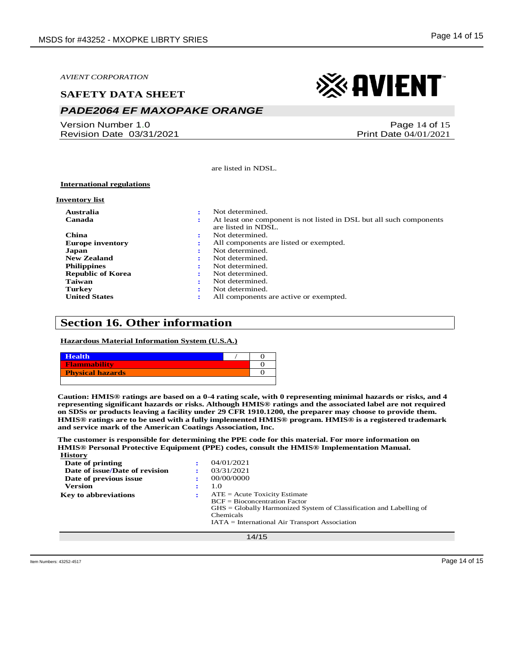#### **SAFETY DATA SHEET**

# *PADE2064 EF MAXOPAKE ORANGE*

Version Number 1.0 Revision Date 03/31/2021



Page 14 of 15 Print Date 04/01/2021

are listed in NDSL.

#### **International regulations**

#### **Inventory list**

| Australia                | ٠ | Not determined.                                                                            |
|--------------------------|---|--------------------------------------------------------------------------------------------|
| Canada                   | ÷ | At least one component is not listed in DSL but all such components<br>are listed in NDSL. |
| China                    | ÷ | Not determined.                                                                            |
| <b>Europe inventory</b>  |   | All components are listed or exempted.                                                     |
| Japan                    |   | Not determined.                                                                            |
| <b>New Zealand</b>       |   | Not determined.                                                                            |
| <b>Philippines</b>       |   | Not determined.                                                                            |
| <b>Republic of Korea</b> |   | Not determined.                                                                            |
| Taiwan                   |   | Not determined.                                                                            |
| <b>Turkey</b>            |   | Not determined.                                                                            |
| <b>United States</b>     |   | All components are active or exempted.                                                     |

### **Section 16. Other information**

**Hazardous Material Information System (U.S.A.)**

| <b>Health</b>           |  |
|-------------------------|--|
| <b>Flammability</b>     |  |
| <b>Physical hazards</b> |  |
|                         |  |

**Caution: HMIS® ratings are based on a 0-4 rating scale, with 0 representing minimal hazards or risks, and 4 representing significant hazards or risks. Although HMIS® ratings and the associated label are not required on SDSs or products leaving a facility under 29 CFR 1910.1200, the preparer may choose to provide them. HMIS® ratings are to be used with a fully implemented HMIS® program. HMIS® is a registered trademark and service mark of the American Coatings Association, Inc.**

**The customer is responsible for determining the PPE code for this material. For more information on HMIS® Personal Protective Equipment (PPE) codes, consult the HMIS® Implementation Manual. History**

| і пэглі у                      |                                                                       |
|--------------------------------|-----------------------------------------------------------------------|
| Date of printing               | 04/01/2021<br>$\bullet$                                               |
| Date of issue/Date of revision | 03/31/2021                                                            |
| Date of previous issue         | 00/00/0000                                                            |
| <b>Version</b>                 | 1.0                                                                   |
| <b>Key to abbreviations</b>    | $ATE = Acute Toxicity Estimate$<br>$\bullet$                          |
|                                | $BCF = Biocomcentration Factor$                                       |
|                                | $GHS = Globally Harmonized System of Classification and Labelling of$ |
|                                | Chemicals                                                             |
|                                | $IATA = International Air Transport Association$                      |
|                                |                                                                       |
|                                | 14/15                                                                 |
|                                |                                                                       |